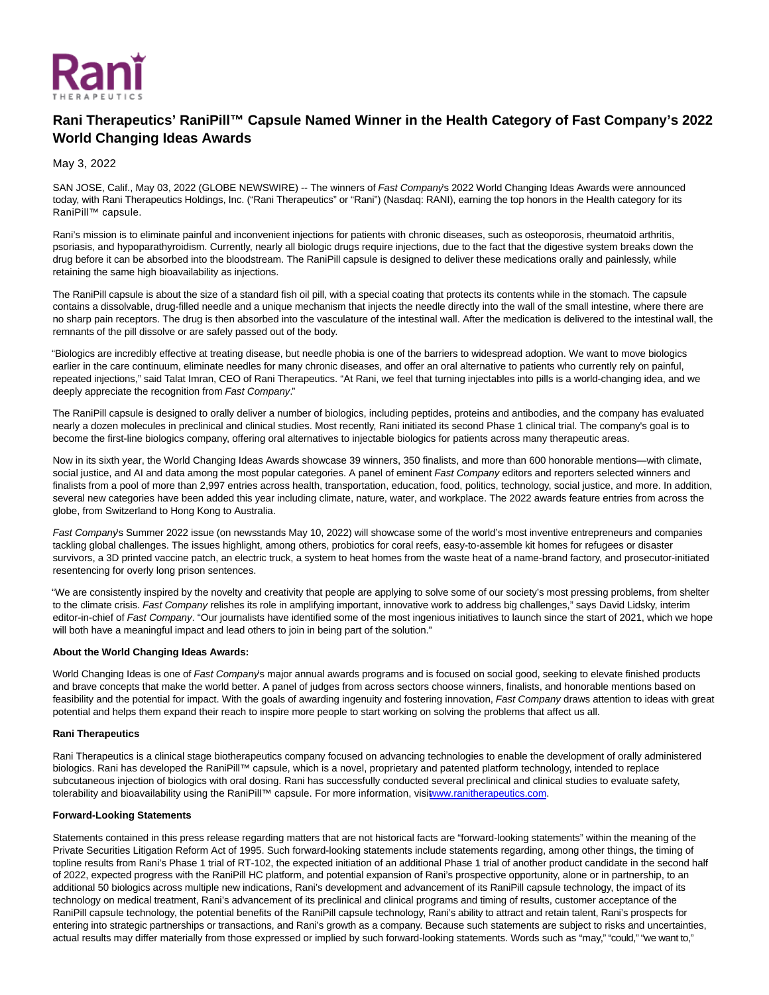

# **Rani Therapeutics' RaniPill™ Capsule Named Winner in the Health Category of Fast Company's 2022 World Changing Ideas Awards**

May 3, 2022

SAN JOSE, Calif., May 03, 2022 (GLOBE NEWSWIRE) -- The winners of Fast Company's 2022 World Changing Ideas Awards were announced today, with Rani Therapeutics Holdings, Inc. ("Rani Therapeutics" or "Rani") (Nasdaq: RANI), earning the top honors in the Health category for its RaniPill™ capsule.

Rani's mission is to eliminate painful and inconvenient injections for patients with chronic diseases, such as osteoporosis, rheumatoid arthritis, psoriasis, and hypoparathyroidism. Currently, nearly all biologic drugs require injections, due to the fact that the digestive system breaks down the drug before it can be absorbed into the bloodstream. The RaniPill capsule is designed to deliver these medications orally and painlessly, while retaining the same high bioavailability as injections.

The RaniPill capsule is about the size of a standard fish oil pill, with a special coating that protects its contents while in the stomach. The capsule contains a dissolvable, drug-filled needle and a unique mechanism that injects the needle directly into the wall of the small intestine, where there are no sharp pain receptors. The drug is then absorbed into the vasculature of the intestinal wall. After the medication is delivered to the intestinal wall, the remnants of the pill dissolve or are safely passed out of the body.

"Biologics are incredibly effective at treating disease, but needle phobia is one of the barriers to widespread adoption. We want to move biologics earlier in the care continuum, eliminate needles for many chronic diseases, and offer an oral alternative to patients who currently rely on painful, repeated injections," said Talat Imran, CEO of Rani Therapeutics. "At Rani, we feel that turning injectables into pills is a world-changing idea, and we deeply appreciate the recognition from Fast Company."

The RaniPill capsule is designed to orally deliver a number of biologics, including peptides, proteins and antibodies, and the company has evaluated nearly a dozen molecules in preclinical and clinical studies. Most recently, Rani initiated its second Phase 1 clinical trial. The company's goal is to become the first-line biologics company, offering oral alternatives to injectable biologics for patients across many therapeutic areas.

Now in its sixth year, the World Changing Ideas Awards showcase 39 winners, 350 finalists, and more than 600 honorable mentions—with climate, social justice, and AI and data among the most popular categories. A panel of eminent Fast Company editors and reporters selected winners and finalists from a pool of more than 2,997 entries across health, transportation, education, food, politics, technology, social justice, and more. In addition, several new categories have been added this year including climate, nature, water, and workplace. The 2022 awards feature entries from across the globe, from Switzerland to Hong Kong to Australia.

Fast Company's Summer 2022 issue (on newsstands May 10, 2022) will showcase some of the world's most inventive entrepreneurs and companies tackling global challenges. The issues highlight, among others, probiotics for coral reefs, easy-to-assemble kit homes for refugees or disaster survivors, a 3D printed vaccine patch, an electric truck, a system to heat homes from the waste heat of a name-brand factory, and prosecutor-initiated resentencing for overly long prison sentences.

"We are consistently inspired by the novelty and creativity that people are applying to solve some of our society's most pressing problems, from shelter to the climate crisis. Fast Company relishes its role in amplifying important, innovative work to address big challenges," says David Lidsky, interim editor-in-chief of Fast Company. "Our journalists have identified some of the most ingenious initiatives to launch since the start of 2021, which we hope will both have a meaningful impact and lead others to join in being part of the solution."

## **About the World Changing Ideas Awards:**

World Changing Ideas is one of Fast Company's major annual awards programs and is focused on social good, seeking to elevate finished products and brave concepts that make the world better. A panel of judges from across sectors choose winners, finalists, and honorable mentions based on feasibility and the potential for impact. With the goals of awarding ingenuity and fostering innovation, Fast Company draws attention to ideas with great potential and helps them expand their reach to inspire more people to start working on solving the problems that affect us all.

## **Rani Therapeutics**

Rani Therapeutics is a clinical stage biotherapeutics company focused on advancing technologies to enable the development of orally administered biologics. Rani has developed the RaniPill™ capsule, which is a novel, proprietary and patented platform technology, intended to replace subcutaneous injection of biologics with oral dosing. Rani has successfully conducted several preclinical and clinical studies to evaluate safety, tolerability and bioavailability using the RaniPill™ capsule. For more information, vis[it www.ranitherapeutics.com.](https://www.globenewswire.com/Tracker?data=6xfGWJrDsZ_FTuOnx_9XcKOphXfJbX71O7ByoCMhk0nuVqO8L4iPCYlsWJS0aoLcF-Z-jnKk0hUQzcvWb3Ey_ov1umygdo3AtkHqQOV3DhA=)

## **Forward-Looking Statements**

Statements contained in this press release regarding matters that are not historical facts are "forward-looking statements" within the meaning of the Private Securities Litigation Reform Act of 1995. Such forward-looking statements include statements regarding, among other things, the timing of topline results from Rani's Phase 1 trial of RT-102, the expected initiation of an additional Phase 1 trial of another product candidate in the second half of 2022, expected progress with the RaniPill HC platform, and potential expansion of Rani's prospective opportunity, alone or in partnership, to an additional 50 biologics across multiple new indications, Rani's development and advancement of its RaniPill capsule technology, the impact of its technology on medical treatment, Rani's advancement of its preclinical and clinical programs and timing of results, customer acceptance of the RaniPill capsule technology, the potential benefits of the RaniPill capsule technology, Rani's ability to attract and retain talent, Rani's prospects for entering into strategic partnerships or transactions, and Rani's growth as a company. Because such statements are subject to risks and uncertainties, actual results may differ materially from those expressed or implied by such forward-looking statements. Words such as "may," "could," "we want to,"